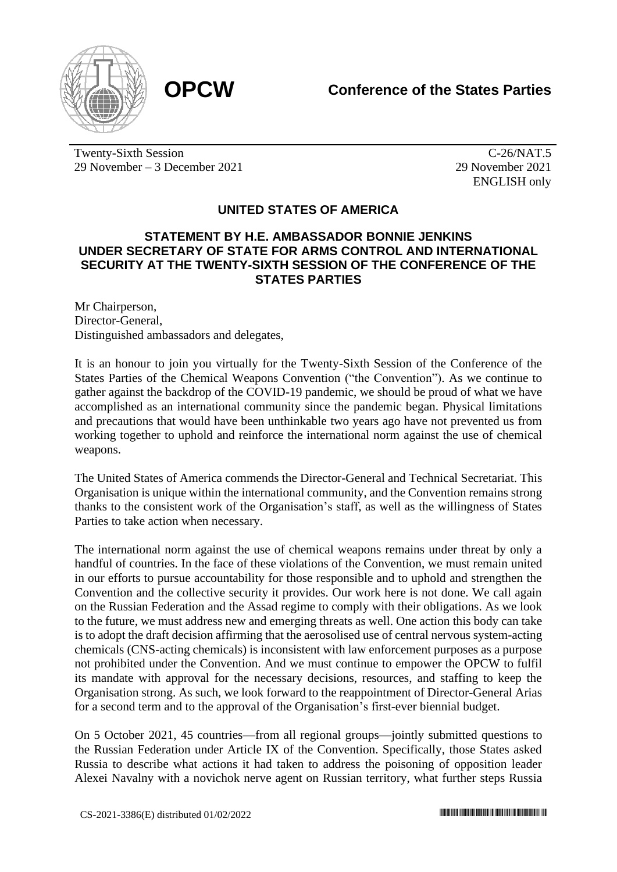

Twenty-Sixth Session 29 November – 3 December 2021

 $\overline{C-26/NAT.5}$ 29 November 2021 ENGLISH only

## **UNITED STATES OF AMERICA**

## **STATEMENT BY H.E. AMBASSADOR BONNIE JENKINS UNDER SECRETARY OF STATE FOR ARMS CONTROL AND INTERNATIONAL SECURITY AT THE TWENTY-SIXTH SESSION OF THE CONFERENCE OF THE STATES PARTIES**

Mr Chairperson, Director-General, Distinguished ambassadors and delegates,

It is an honour to join you virtually for the Twenty-Sixth Session of the Conference of the States Parties of the Chemical Weapons Convention ("the Convention"). As we continue to gather against the backdrop of the COVID-19 pandemic, we should be proud of what we have accomplished as an international community since the pandemic began. Physical limitations and precautions that would have been unthinkable two years ago have not prevented us from working together to uphold and reinforce the international norm against the use of chemical weapons.

The United States of America commends the Director-General and Technical Secretariat. This Organisation is unique within the international community, and the Convention remains strong thanks to the consistent work of the Organisation's staff, as well as the willingness of States Parties to take action when necessary.

The international norm against the use of chemical weapons remains under threat by only a handful of countries. In the face of these violations of the Convention, we must remain united in our efforts to pursue accountability for those responsible and to uphold and strengthen the Convention and the collective security it provides. Our work here is not done. We call again on the Russian Federation and the Assad regime to comply with their obligations. As we look to the future, we must address new and emerging threats as well. One action this body can take is to adopt the draft decision affirming that the aerosolised use of central nervous system-acting chemicals (CNS-acting chemicals) is inconsistent with law enforcement purposes as a purpose not prohibited under the Convention. And we must continue to empower the OPCW to fulfil its mandate with approval for the necessary decisions, resources, and staffing to keep the Organisation strong. As such, we look forward to the reappointment of Director-General Arias for a second term and to the approval of the Organisation's first-ever biennial budget.

On 5 October 2021, 45 countries—from all regional groups—jointly submitted questions to the Russian Federation under Article IX of the Convention. Specifically, those States asked Russia to describe what actions it had taken to address the poisoning of opposition leader Alexei Navalny with a novichok nerve agent on Russian territory, what further steps Russia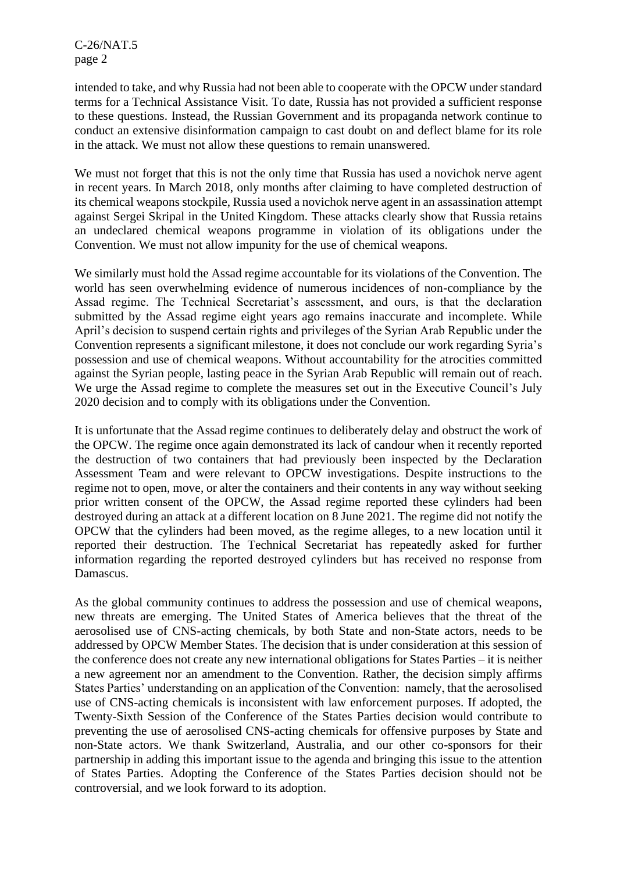C-26/NAT.5 page 2

intended to take, and why Russia had not been able to cooperate with the OPCW under standard terms for a Technical Assistance Visit. To date, Russia has not provided a sufficient response to these questions. Instead, the Russian Government and its propaganda network continue to conduct an extensive disinformation campaign to cast doubt on and deflect blame for its role in the attack. We must not allow these questions to remain unanswered.

We must not forget that this is not the only time that Russia has used a novichok nerve agent in recent years. In March 2018, only months after claiming to have completed destruction of its chemical weapons stockpile, Russia used a novichok nerve agent in an assassination attempt against Sergei Skripal in the United Kingdom. These attacks clearly show that Russia retains an undeclared chemical weapons programme in violation of its obligations under the Convention. We must not allow impunity for the use of chemical weapons.

We similarly must hold the Assad regime accountable for its violations of the Convention. The world has seen overwhelming evidence of numerous incidences of non-compliance by the Assad regime. The Technical Secretariat's assessment, and ours, is that the declaration submitted by the Assad regime eight years ago remains inaccurate and incomplete. While April's decision to suspend certain rights and privileges of the Syrian Arab Republic under the Convention represents a significant milestone, it does not conclude our work regarding Syria's possession and use of chemical weapons. Without accountability for the atrocities committed against the Syrian people, lasting peace in the Syrian Arab Republic will remain out of reach. We urge the Assad regime to complete the measures set out in the Executive Council's July 2020 decision and to comply with its obligations under the Convention.

It is unfortunate that the Assad regime continues to deliberately delay and obstruct the work of the OPCW. The regime once again demonstrated its lack of candour when it recently reported the destruction of two containers that had previously been inspected by the Declaration Assessment Team and were relevant to OPCW investigations. Despite instructions to the regime not to open, move, or alter the containers and their contents in any way without seeking prior written consent of the OPCW, the Assad regime reported these cylinders had been destroyed during an attack at a different location on 8 June 2021. The regime did not notify the OPCW that the cylinders had been moved, as the regime alleges, to a new location until it reported their destruction. The Technical Secretariat has repeatedly asked for further information regarding the reported destroyed cylinders but has received no response from Damascus.

As the global community continues to address the possession and use of chemical weapons, new threats are emerging. The United States of America believes that the threat of the aerosolised use of CNS-acting chemicals, by both State and non-State actors, needs to be addressed by OPCW Member States. The decision that is under consideration at this session of the conference does not create any new international obligations for States Parties – it is neither a new agreement nor an amendment to the Convention. Rather, the decision simply affirms States Parties' understanding on an application of the Convention: namely, that the aerosolised use of CNS-acting chemicals is inconsistent with law enforcement purposes. If adopted, the Twenty-Sixth Session of the Conference of the States Parties decision would contribute to preventing the use of aerosolised CNS-acting chemicals for offensive purposes by State and non-State actors. We thank Switzerland, Australia, and our other co-sponsors for their partnership in adding this important issue to the agenda and bringing this issue to the attention of States Parties. Adopting the Conference of the States Parties decision should not be controversial, and we look forward to its adoption.